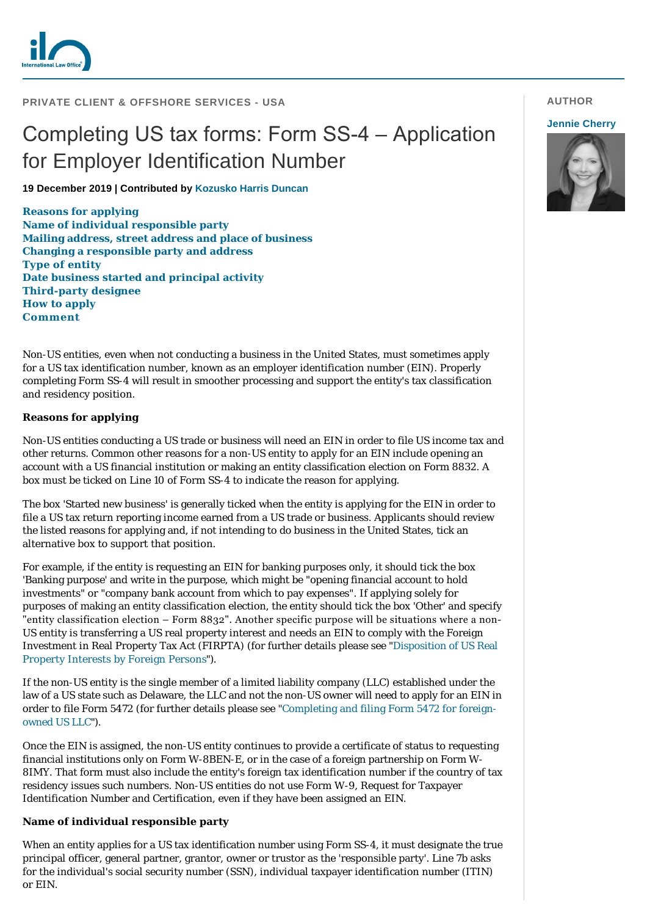

# Completing US tax forms: Form SS-4 – Application for Employer Identification Number

**19 December 2019 | Contributed by [Kozusko Harris Duncan](https://www.internationallawoffice.com/gesr.ashx?l=8PV6A50)**

**[Reasons for applying](#page-0-0) [Name of individual responsible party](#page-0-1) [Mailing address, street address and place of business](#page-1-0) [Changing a responsible party and address](#page-1-1) [Type of entity](#page-1-2) [Date business started and principal activity](#page-2-0) [Third-party designee](#page-2-1) [How to apply](#page-2-2) [Comment](#page-2-3)**

Non-US entities, even when not conducting a business in the United States, must sometimes apply for a US tax identification number, known as an employer identification number (EIN). Properly completing Form SS-4 will result in smoother processing and support the entity's tax classification and residency position.

## <span id="page-0-0"></span>**Reasons for applying**

Non-US entities conducting a US trade or business will need an EIN in order to file US income tax and other returns. Common other reasons for a non-US entity to apply for an EIN include opening an account with a US financial institution or making an entity classification election on Form 8832. A box must be ticked on Line 10 of Form SS-4 to indicate the reason for applying.

The box 'Started new business' is generally ticked when the entity is applying for the EIN in order to file a US tax return reporting income earned from a US trade or business. Applicants should review the listed reasons for applying and, if not intending to do business in the United States, tick an alternative box to support that position.

For example, if the entity is requesting an EIN for banking purposes only, it should tick the box 'Banking purpose' and write in the purpose, which might be "opening financial account to hold investments" or "company bank account from which to pay expenses". If applying solely for purposes of making an entity classification election, the entity should tick the box 'Other' and specify "entity classification election – Form 8832". Another specific purpose will be situations where a non-US entity is transferring a US real property interest and needs an EIN to comply with the Foreign [Investment in Real Property Tax Act \(FIRPTA\) \(for further details please see "Disposition of US Real](https://www.internationallawoffice.com/gesr.ashx?l=8PV6A56) Property Interests by Foreign Persons").

If the non-US entity is the single member of a limited liability company (LLC) established under the law of a US state such as Delaware, the LLC and not the non-US owner will need to apply for an EIN in [order to file Form 5472 \(for further details please see "Completing and filing Form 5472 for foreign](https://www.internationallawoffice.com/gesr.ashx?l=8PV6A59)owned US LLC").

Once the EIN is assigned, the non-US entity continues to provide a certificate of status to requesting financial institutions only on Form W-8BEN-E, or in the case of a foreign partnership on Form W-8IMY. That form must also include the entity's foreign tax identification number if the country of tax residency issues such numbers. Non-US entities do not use Form W-9, Request for Taxpayer Identification Number and Certification, even if they have been assigned an EIN.

## <span id="page-0-1"></span>**Name of individual responsible party**

When an entity applies for a US tax identification number using Form SS-4, it must designate the true principal officer, general partner, grantor, owner or trustor as the 'responsible party'. Line 7b asks for the individual's social security number (SSN), individual taxpayer identification number (ITIN) or EIN.

# **AUTHOR**

## **[Jennie Cherry](https://www.internationallawoffice.com/gesr.ashx?l=8PV6A5W)**

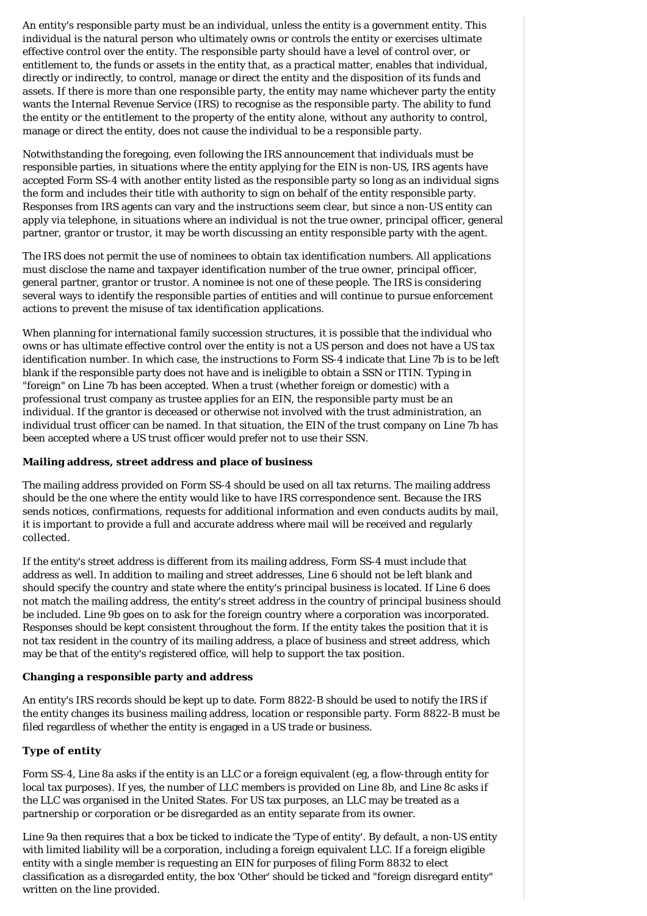An entity's responsible party must be an individual, unless the entity is a government entity. This individual is the natural person who ultimately owns or controls the entity or exercises ultimate effective control over the entity. The responsible party should have a level of control over, or entitlement to, the funds or assets in the entity that, as a practical matter, enables that individual, directly or indirectly, to control, manage or direct the entity and the disposition of its funds and assets. If there is more than one responsible party, the entity may name whichever party the entity wants the Internal Revenue Service (IRS) to recognise as the responsible party. The ability to fund the entity or the entitlement to the property of the entity alone, without any authority to control, manage or direct the entity, does not cause the individual to be a responsible party.

Notwithstanding the foregoing, even following the IRS announcement that individuals must be responsible parties, in situations where the entity applying for the EIN is non-US, IRS agents have accepted Form SS-4 with another entity listed as the responsible party so long as an individual signs the form and includes their title with authority to sign on behalf of the entity responsible party. Responses from IRS agents can vary and the instructions seem clear, but since a non-US entity can apply via telephone, in situations where an individual is not the true owner, principal officer, general partner, grantor or trustor, it may be worth discussing an entity responsible party with the agent.

The IRS does not permit the use of nominees to obtain tax identification numbers. All applications must disclose the name and taxpayer identification number of the true owner, principal officer, general partner, grantor or trustor. A nominee is not one of these people. The IRS is considering several ways to identify the responsible parties of entities and will continue to pursue enforcement actions to prevent the misuse of tax identification applications.

When planning for international family succession structures, it is possible that the individual who owns or has ultimate effective control over the entity is not a US person and does not have a US tax identification number. In which case, the instructions to Form SS-4 indicate that Line 7b is to be left blank if the responsible party does not have and is ineligible to obtain a SSN or ITIN. Typing in "foreign" on Line 7b has been accepted. When a trust (whether foreign or domestic) with a professional trust company as trustee applies for an EIN, the responsible party must be an individual. If the grantor is deceased or otherwise not involved with the trust administration, an individual trust officer can be named. In that situation, the EIN of the trust company on Line 7b has been accepted where a US trust officer would prefer not to use their SSN.

## <span id="page-1-0"></span>**Mailing address, street address and place of business**

The mailing address provided on Form SS-4 should be used on all tax returns. The mailing address should be the one where the entity would like to have IRS correspondence sent. Because the IRS sends notices, confirmations, requests for additional information and even conducts audits by mail, it is important to provide a full and accurate address where mail will be received and regularly collected.

If the entity's street address is different from its mailing address, Form SS-4 must include that address as well. In addition to mailing and street addresses, Line 6 should not be left blank and should specify the country and state where the entity's principal business is located. If Line 6 does not match the mailing address, the entity's street address in the country of principal business should be included. Line 9b goes on to ask for the foreign country where a corporation was incorporated. Responses should be kept consistent throughout the form. If the entity takes the position that it is not tax resident in the country of its mailing address, a place of business and street address, which may be that of the entity's registered office, will help to support the tax position.

## <span id="page-1-1"></span>**Changing a responsible party and address**

An entity's IRS records should be kept up to date. Form 8822-B should be used to notify the IRS if the entity changes its business mailing address, location or responsible party. Form 8822-B must be filed regardless of whether the entity is engaged in a US trade or business.

# <span id="page-1-2"></span>**Type of entity**

Form SS-4, Line 8a asks if the entity is an LLC or a foreign equivalent (eg, a flow-through entity for local tax purposes). If yes, the number of LLC members is provided on Line 8b, and Line 8c asks if the LLC was organised in the United States. For US tax purposes, an LLC may be treated as a partnership or corporation or be disregarded as an entity separate from its owner.

Line 9a then requires that a box be ticked to indicate the 'Type of entity'. By default, a non-US entity with limited liability will be a corporation, including a foreign equivalent LLC. If a foreign eligible entity with a single member is requesting an EIN for purposes of filing Form 8832 to elect classification as a disregarded entity, the box 'Other' should be ticked and "foreign disregard entity" written on the line provided.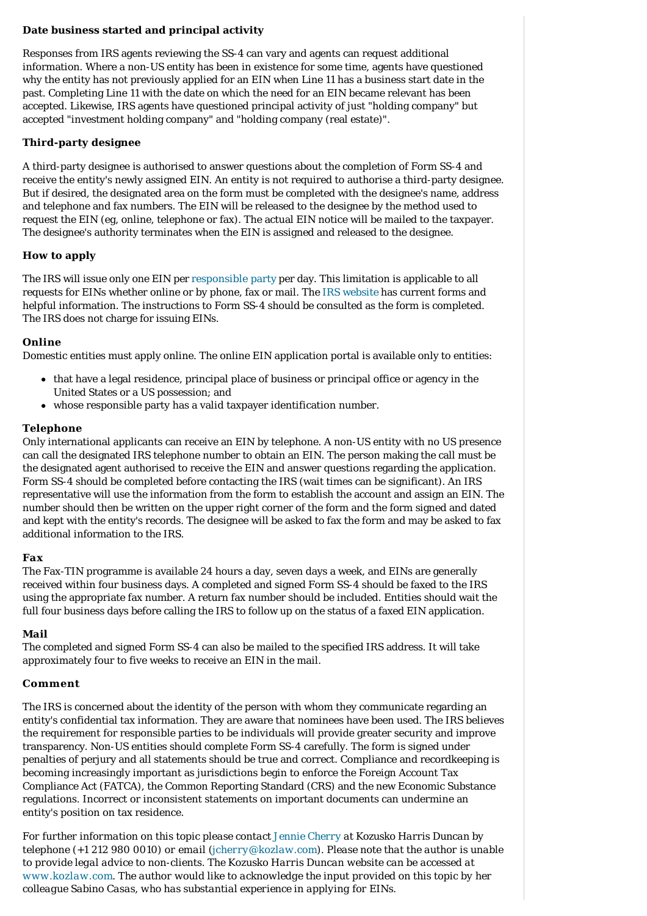# <span id="page-2-0"></span>**Date business started and principal activity**

Responses from IRS agents reviewing the SS-4 can vary and agents can request additional information. Where a non-US entity has been in existence for some time, agents have questioned why the entity has not previously applied for an EIN when Line 11 has a business start date in the past. Completing Line 11 with the date on which the need for an EIN became relevant has been accepted. Likewise, IRS agents have questioned principal activity of just "holding company" but accepted "investment holding company" and "holding company (real estate)".

# <span id="page-2-1"></span>**Third-party designee**

A third-party designee is authorised to answer questions about the completion of Form SS-4 and receive the entity's newly assigned EIN. An entity is not required to authorise a third-party designee. But if desired, the designated area on the form must be completed with the designee's name, address and telephone and fax numbers. The EIN will be released to the designee by the method used to request the EIN (eg, online, telephone or fax). The actual EIN notice will be mailed to the taxpayer. The designee's authority terminates when the EIN is assigned and released to the designee.

# <span id="page-2-2"></span>**How to apply**

The IRS will issue only one EIN per [responsible party](https://www.internationallawoffice.com/gesr.ashx?l=8PV6A5C) per day. This limitation is applicable to all requests for EINs whether online or by phone, fax or mail. The [IRS website](https://www.internationallawoffice.com/gesr.ashx?l=8PV6A5F) has current forms and helpful information. The instructions to Form SS-4 should be consulted as the form is completed. The IRS does not charge for issuing EINs.

# *Online*

Domestic entities must apply online. The online EIN application portal is available only to entities:

- that have a legal residence, principal place of business or principal office or agency in the United States or a US possession; and
- whose responsible party has a valid taxpayer identification number.

# *Telephone*

Only international applicants can receive an EIN by telephone. A non-US entity with no US presence can call the designated IRS telephone number to obtain an EIN. The person making the call must be the designated agent authorised to receive the EIN and answer questions regarding the application. Form SS-4 should be completed before contacting the IRS (wait times can be significant). An IRS representative will use the information from the form to establish the account and assign an EIN. The number should then be written on the upper right corner of the form and the form signed and dated and kept with the entity's records. The designee will be asked to fax the form and may be asked to fax additional information to the IRS.

# *Fax*

The Fax-TIN programme is available 24 hours a day, seven days a week, and EINs are generally received within four business days. A completed and signed Form SS-4 should be faxed to the IRS using the appropriate fax number. A return fax number should be included. Entities should wait the full four business days before calling the IRS to follow up on the status of a faxed EIN application.

# *Mail*

The completed and signed Form SS-4 can also be mailed to the specified IRS address. It will take approximately four to five weeks to receive an EIN in the mail.

# <span id="page-2-3"></span>**Comment**

The IRS is concerned about the identity of the person with whom they communicate regarding an entity's confidential tax information. They are aware that nominees have been used. The IRS believes the requirement for responsible parties to be individuals will provide greater security and improve transparency. Non-US entities should complete Form SS-4 carefully. The form is signed under penalties of perjury and all statements should be true and correct. Compliance and recordkeeping is becoming increasingly important as jurisdictions begin to enforce the Foreign Account Tax Compliance Act (FATCA), the Common Reporting Standard (CRS) and the new Economic Substance regulations. Incorrect or inconsistent statements on important documents can undermine an entity's position on tax residence.

*For further information on this topic please contact [Jennie Cherry](https://www.internationallawoffice.com/gesr.ashx?l=8PV6A5M) at Kozusko Harris Duncan by telephone (+1 212 980 0010) or email [\(jcherry@kozlaw.com](mailto:jcherry@kozlaw.com?subject=Article%20on%20ILO)). Please note that the author is unable to provide legal advice to non-clients. The Kozusko Harris Duncan website can be accessed at [www.kozlaw.com](https://www.internationallawoffice.com/gesr.ashx?l=8PV6A5Q). The author would like to acknowledge the input provided on this topic by her colleague Sabino Casas, who has substantial experience in applying for EINs.*